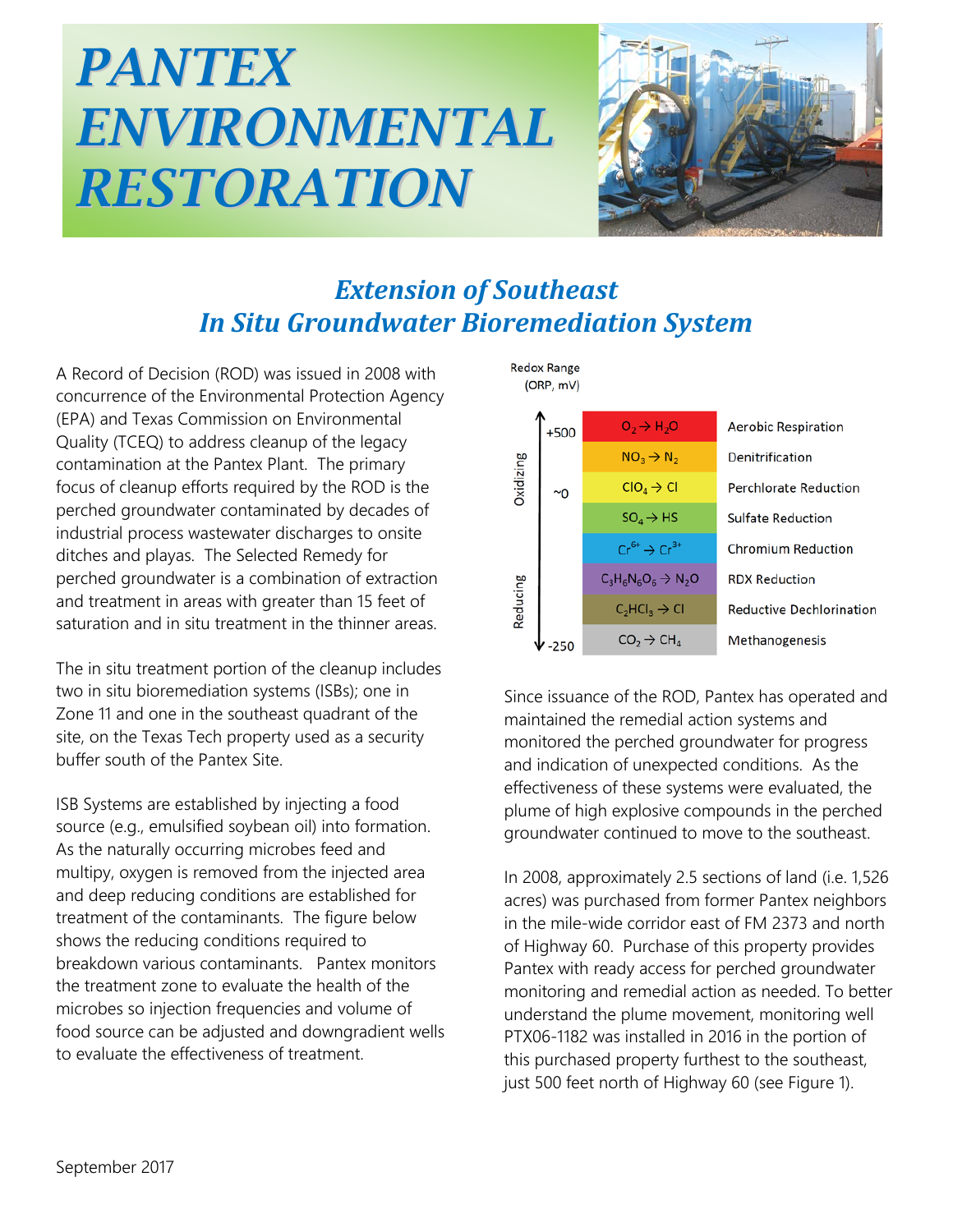## *PANTEX ENVIRONMENTAL RESTORATION*



## *Extension of Southeast In Situ Groundwater Bioremediation System*

A Record of Decision (ROD) was issued in 2008 with concurrence of the Environmental Protection Agency (EPA) and Texas Commission on Environmental Quality (TCEQ) to address cleanup of the legacy contamination at the Pantex Plant. The primary focus of cleanup efforts required by the ROD is the perched groundwater contaminated by decades of industrial process wastewater discharges to onsite ditches and playas. The Selected Remedy for perched groundwater is a combination of extraction and treatment in areas with greater than 15 feet of saturation and in situ treatment in the thinner areas.

The in situ treatment portion of the cleanup includes two in situ bioremediation systems (ISBs); one in Zone 11 and one in the southeast quadrant of the site, on the Texas Tech property used as a security buffer south of the Pantex Site.

ISB Systems are established by injecting a food source (e.g., emulsified soybean oil) into formation. As the naturally occurring microbes feed and multipy, oxygen is removed from the injected area and deep reducing conditions are established for treatment of the contaminants. The figure below shows the reducing conditions required to breakdown various contaminants. Pantex monitors the treatment zone to evaluate the health of the microbes so injection frequencies and volume of food source can be adjusted and downgradient wells to evaluate the effectiveness of treatment.

Redox Range  $(ORP, mV)$ 



Since issuance of the ROD, Pantex has operated and maintained the remedial action systems and monitored the perched groundwater for progress and indication of unexpected conditions. As the effectiveness of these systems were evaluated, the plume of high explosive compounds in the perched groundwater continued to move to the southeast.

In 2008, approximately 2.5 sections of land (i.e. 1,526 acres) was purchased from former Pantex neighbors in the mile-wide corridor east of FM 2373 and north of Highway 60. Purchase of this property provides Pantex with ready access for perched groundwater monitoring and remedial action as needed. To better understand the plume movement, monitoring well PTX06-1182 was installed in 2016 in the portion of this purchased property furthest to the southeast, just 500 feet north of Highway 60 (see Figure 1).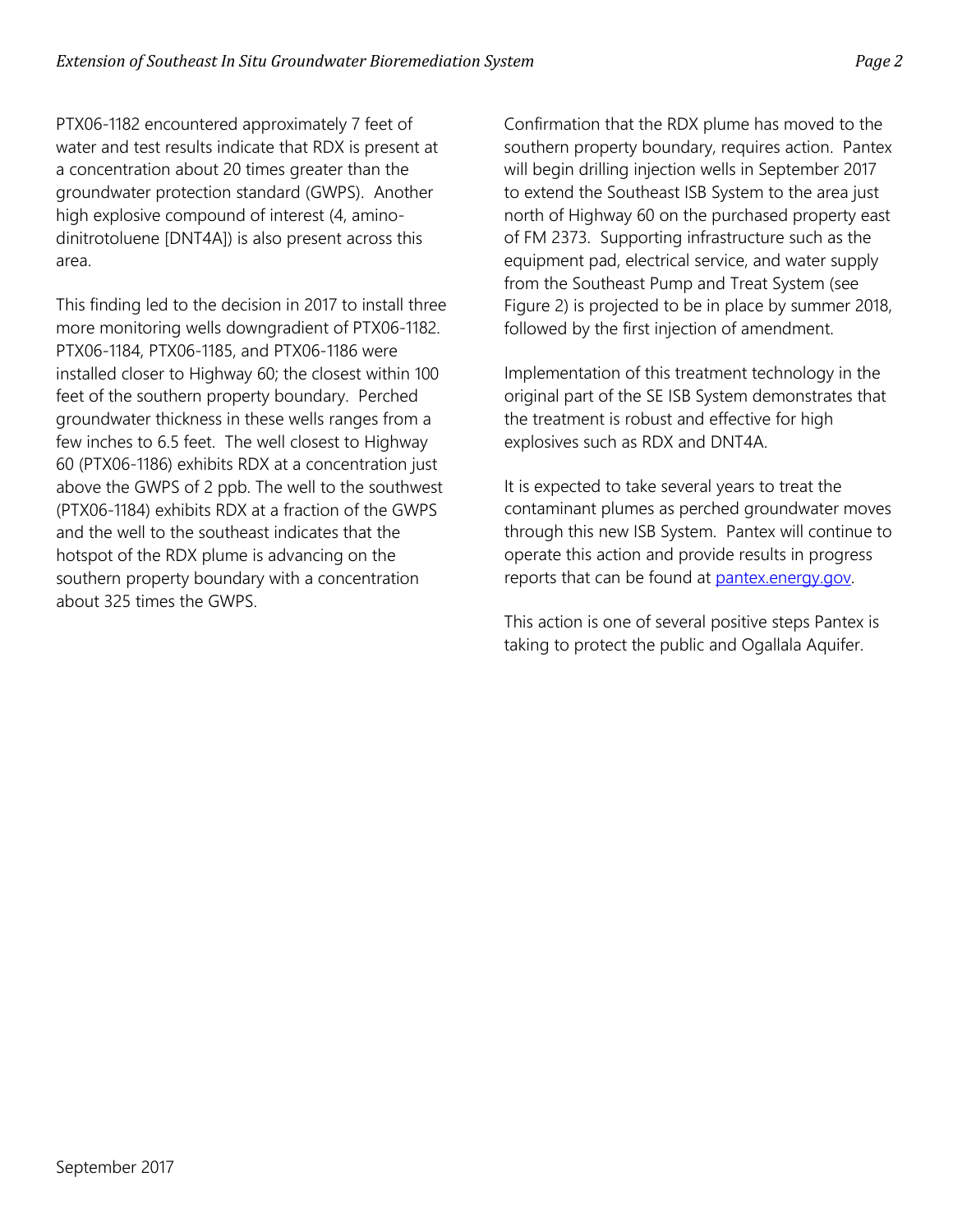PTX06-1182 encountered approximately 7 feet of water and test results indicate that RDX is present at a concentration about 20 times greater than the groundwater protection standard (GWPS). Another high explosive compound of interest (4, aminodinitrotoluene [DNT4A]) is also present across this area.

This finding led to the decision in 2017 to install three more monitoring wells downgradient of PTX06-1182. PTX06-1184, PTX06-1185, and PTX06-1186 were installed closer to Highway 60; the closest within 100 feet of the southern property boundary. Perched groundwater thickness in these wells ranges from a few inches to 6.5 feet. The well closest to Highway 60 (PTX06-1186) exhibits RDX at a concentration just above the GWPS of 2 ppb. The well to the southwest (PTX06-1184) exhibits RDX at a fraction of the GWPS and the well to the southeast indicates that the hotspot of the RDX plume is advancing on the southern property boundary with a concentration about 325 times the GWPS.

Confirmation that the RDX plume has moved to the southern property boundary, requires action. Pantex will begin drilling injection wells in September 2017 to extend the Southeast ISB System to the area just north of Highway 60 on the purchased property east of FM 2373. Supporting infrastructure such as the equipment pad, electrical service, and water supply from the Southeast Pump and Treat System (see Figure 2) is projected to be in place by summer 2018, followed by the first injection of amendment.

Implementation of this treatment technology in the original part of the SE ISB System demonstrates that the treatment is robust and effective for high explosives such as RDX and DNT4A.

It is expected to take several years to treat the contaminant plumes as perched groundwater moves through this new ISB System. Pantex will continue to operate this action and provide results in progress reports that can be found at [pantex.energy.gov.](http://www.pantex.com/)

This action is one of several positive steps Pantex is taking to protect the public and Ogallala Aquifer.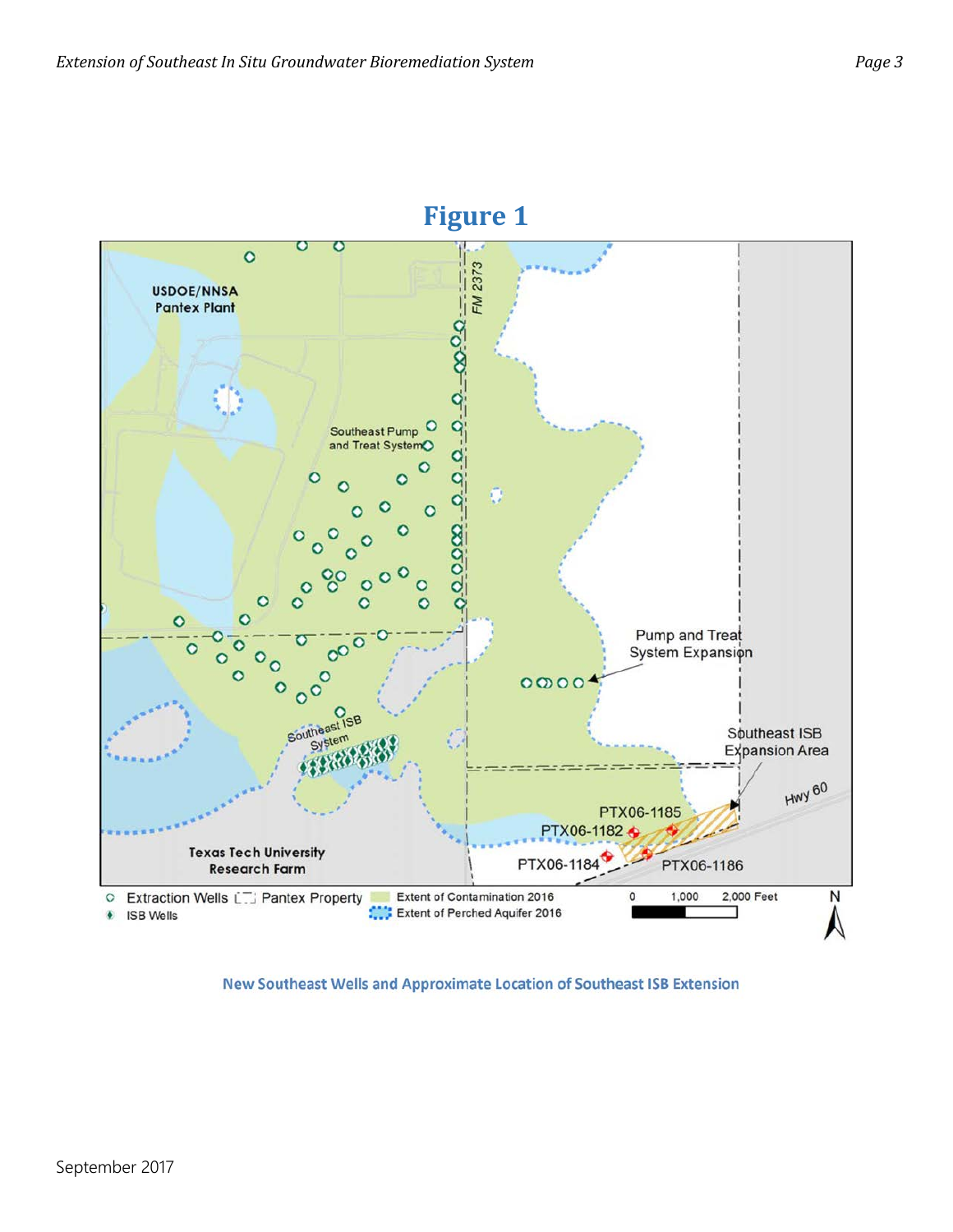

## **Figure 1**

New Southeast Wells and Approximate Location of Southeast ISB Extension